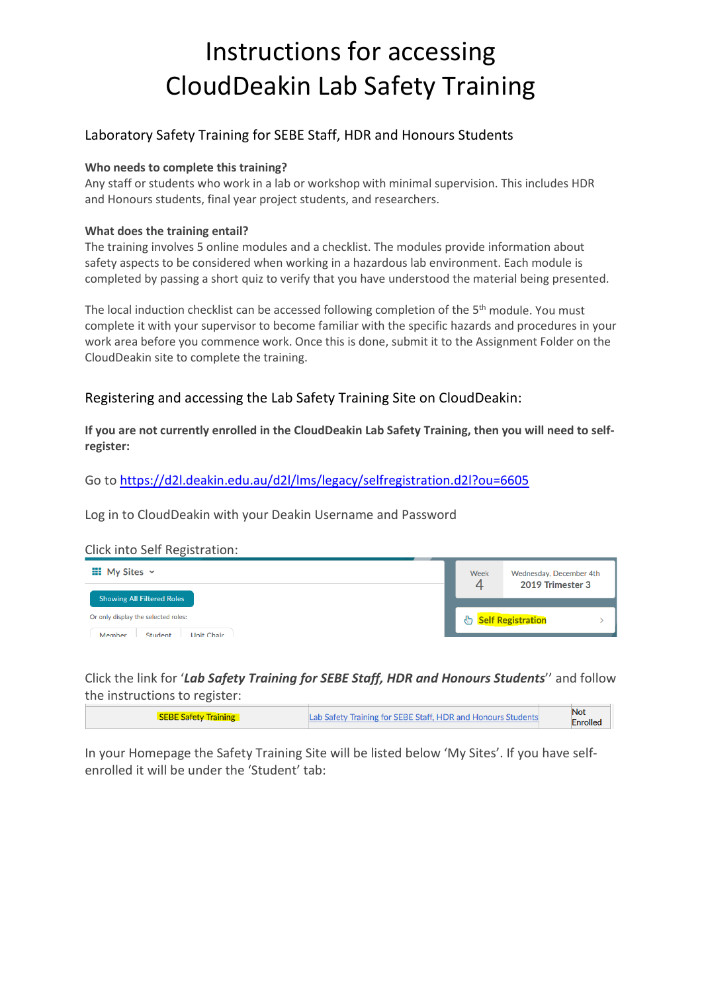# Instructions for accessing CloudDeakin Lab Safety Training

## Laboratory Safety Training for SEBE Staff, HDR and Honours Students

### **Who needs to complete this training?**

Any staff or students who work in a lab or workshop with minimal supervision. This includes HDR and Honours students, final year project students, and researchers.

### **What does the training entail?**

The training involves 5 online modules and a checklist. The modules provide information about safety aspects to be considered when working in a hazardous lab environment. Each module is completed by passing a short quiz to verify that you have understood the material being presented.

The local induction checklist can be accessed following completion of the 5<sup>th</sup> module. You must complete it with your supervisor to become familiar with the specific hazards and procedures in your work area before you commence work. Once this is done, submit it to the Assignment Folder on the CloudDeakin site to complete the training.

## Registering and accessing the Lab Safety Training Site on CloudDeakin:

**If you are not currently enrolled in the CloudDeakin Lab Safety Training, then you will need to selfregister:**

Go t[o https://d2l.deakin.edu.au/d2l/lms/legacy/selfregistration.d2l?ou=6605](https://d2l.deakin.edu.au/d2l/lms/legacy/selfregistration.d2l?ou=6605)

Log in to CloudDeakin with your Deakin Username and Password

#### Click into Self Registration:



Click the link for '*Lab Safety Training for SEBE Staff, HDR and Honours Students*'' and follow the instructions to register:

| <b>SEBE Safety Training</b> | Lab Safety Training for SEBE Staff, HDR and Honours Students | Not             |  |
|-----------------------------|--------------------------------------------------------------|-----------------|--|
|                             |                                                              | <b>Enrolled</b> |  |

In your Homepage the Safety Training Site will be listed below 'My Sites'. If you have selfenrolled it will be under the 'Student' tab: